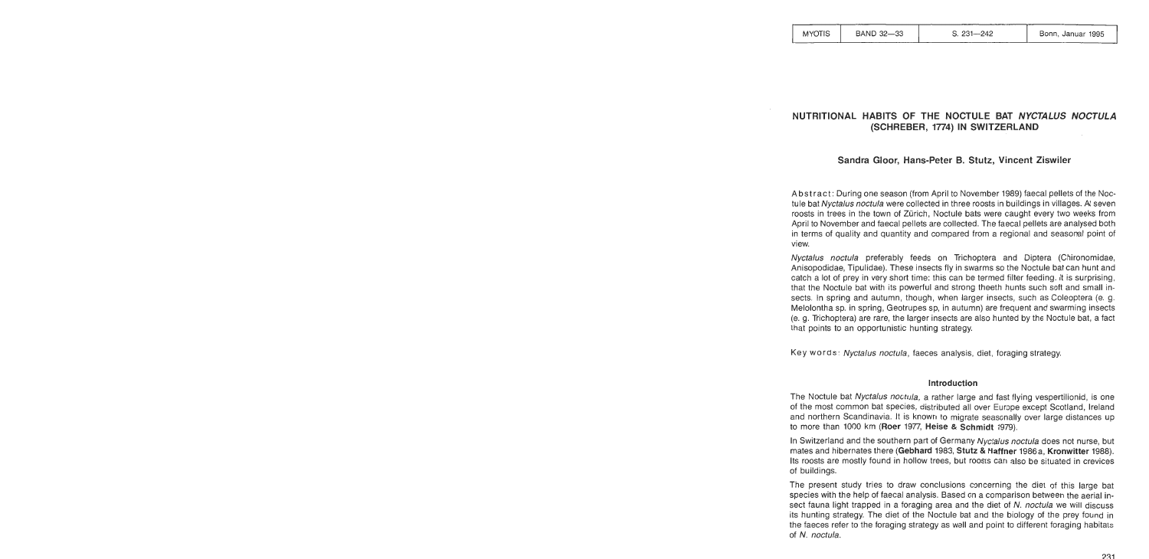| <b>MYOTIS</b> |
|---------------|
|---------------|

# **NUTRlTlONAL HABITS OF THE NOCTULE BAT NYCTALUS NOCTULA (SCHREBER, 1774) IN SWITZERLAND**

# **Sandra Gloor, Hans-Peter B. Stutz, Vincent Ziswiler**

Abstract : During one season (from April to November 1989) faecal pellets of the Noctule bat Nyctalus noctula were collected in three roosts in buildings in villages. At seven roosts in trees in the town of Zürich, Noctule bats were caught every two weeks from April to November and faecal pellets are collected. The faecal pellets are analysed both in terms of quality and quantity and compared from a regional and seasonal point of view.

Nyctalus noctula preferably feeds on Trichoptera and Diptera (Chironomidae, Anisopodidae, Tipulidae). These insects fly in swarms so the Noctule bat can hunt and catch a lot of prey in very short time: this can be termed filter feeding. It is surprising, that the Noctule bat with its powerful and strong theeth hunts such soft and small insects. In spring and autumn, though, when larger insects, such as Coleoptera (e. g. Melolontha sp. in spring, Geotrupes sp, in autumn) are frequent and swarming insects (e. g. Trichoptera) are rare, the larger insects are also hunted by the Noctule bat, a fact that points to an opportunistic hunting strategy.

Key words: Nyctalus noctula, faeces analysis, diet, foraging strategy.

### **lntroduction**

The Noctule bat Nyctalus noctula, a rather large and fast flying vespertilionid, is one of the most common bat species, distributed all over Europe except Scotland, lreland and northern Scandinavia. It is known to migrate seasonally over large distances up to more than 1000 km (Roer 1977, Heise & Schmidt 1979).

In Switzerland and the southern part of Germany Nyctalus noctula does not nurse, but mates and hibernates there **(Gebhard** 1983, **Stutz** & **Haffner** 1986a, **Kronwitter** 1988). Its roosts are mostly found in hollow trees, but roosts can also be situated in crevices of buildings.

The present study tries to draw conclusions concerning the diet of this large bat species with the help of faecal analysis. Based on a comparison between the aerial insect fauna light trapped in a foraging area and the diet of N. noctula we will discuss its hunting strategy. The diet of the Noctule bat and the biology of the prey found in the faeces refer to the foraging strategy as well and point to different foraging habitats of N. noctula.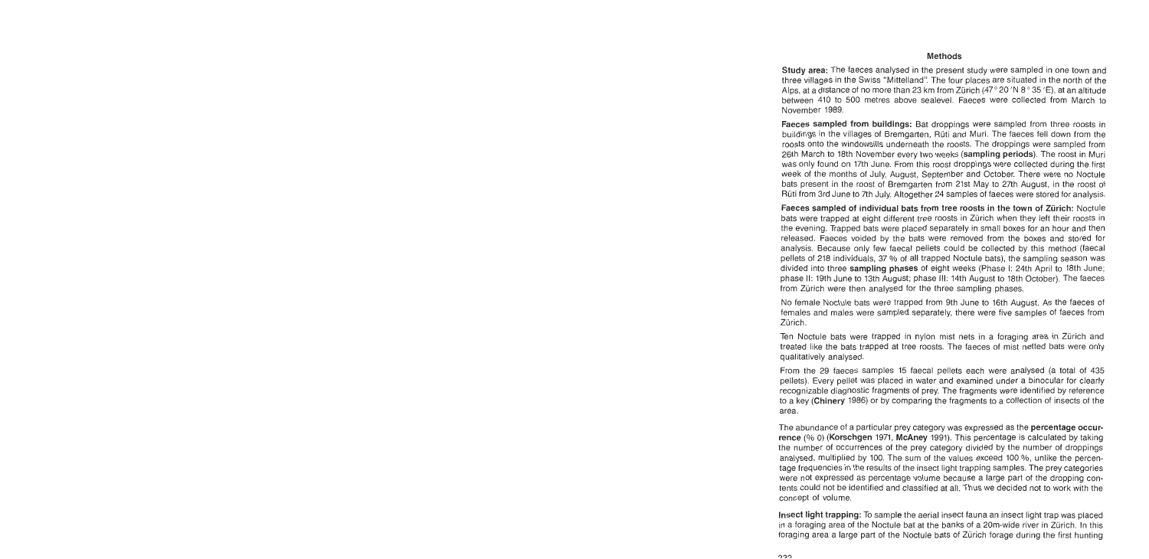#### **Methods**

Study area: The faeces analysed in the present study were sampled in one town and three villages in the Swiss "Mittelland': The four places are situated in the north of the Alps, at a distance of no more than 23 km from Zürich (47° 20 'N 8° 35 'E), at an altitude between 410 to 500 metres above sealevel. Faeces were collected from March to November 1989.

Faeces sampled from buildings: Bat droppings were sampled from three roosts in buildings in the villages of Bremgarten, Rüti and Muri. The faeces feil down from the roosts onto the windowsills underneath the roosts. The droppings were sampled from 26th March to 18th November every two weeks (sampling periods). The roost in Muri was only found on 17th June. From this roost droppings were collected during the first week of the months of July, August, September and October. There were no Noctule bats present in the roost of Bremgarten from 21st May to 27th August, in the roost of Rüti from 3rd June to 7th July. Altogether 24 samples of faeces were stored for analysis.

Faeces sampled of individual bats from tree roosts in the town of Zürich: Noctule bats were trapped at eight different tree roosts in Zürich when they left their roosts in the evening. Trapped bats were placed separately in small boxes for an hour and then released. Faeces voided by the bats were removed from the boxes and stored for analysis. Because only few faecal pellets could be collected by this method (faecal pellets of 218 individuals, 37 % of all trapped Noctule bats), the sampling season was divided into three sampling phases of eight weeks (Phase I: 24th April to 18th June; phase 11: 19th June to 13th August; phase 111: 14th August to 18th October). The faeces from Zürich were then analysed for the three sampling phases.

No female Noctule bats were trapped from 9th June to 16th August. As the faeces of females and males were sampled separately, there were five samples of faeces from Zürich.

Ten Noctule bats were trapped in nylon mist nets in a foraging area in Zürich and treated like the bats trapped at tree roosts. The faeces of mist netted bats were only qualitatively analysed.

From the 29 faeces samples 15 faecal pellets each were analysed (a total of 435 pellets). Every pellet was placed in water and examined under a binocular for clearly recognizable diagnostic fragments of prey. The fragments were identified by reference to a key (Chinery 1986) or by comparing the fragments to a collection of insects of the area.

The abundance of a particular prey category was expressed as the **percentage occur**rence (% 0) (Korschgen 1971, McAney 1991). This percentage is calculated by taking the number of occurrences of the prey category divided by the number of droppings analysed, multiplied by 100. The sum of the values exceed 100 %, unlike the percentage frequencies in the results of the insect light trapping samples. The prey categories were not expressed as percentage volume because a large part of the dropping contents could not be identified and classified at all. Thus we decided not to work with the concept of volume.

lnsect light trapping: To sample the aerial insect fauna an insect light trap was placed in a foraging area of the Noctule bat at the banks of a 20m-wide river in Zürich. In this foraging area a large part of the Noctule bats of Zürich forage during the first hunting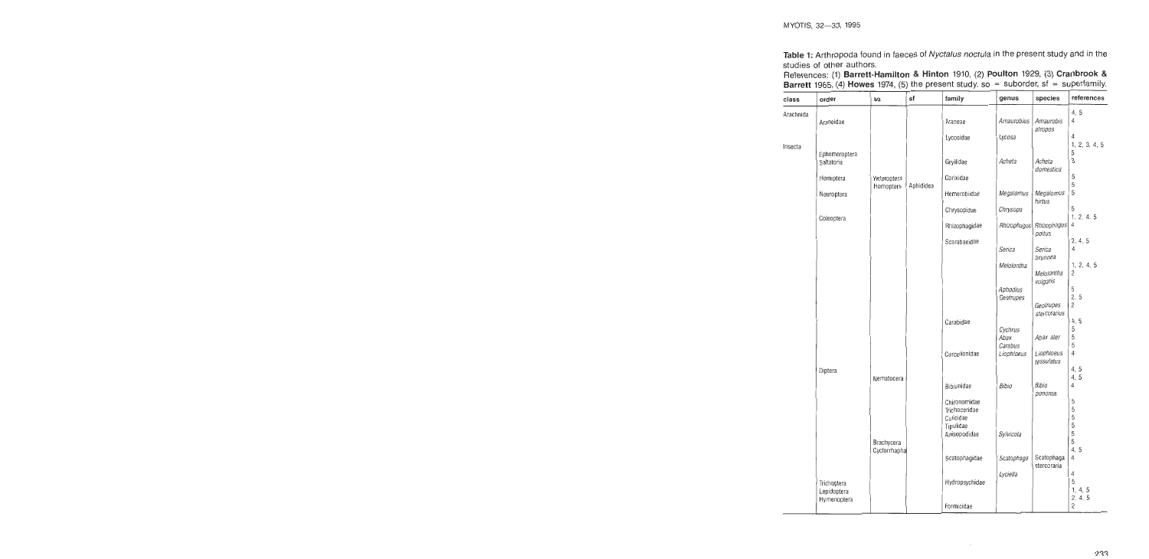Table **1:** Arthropoda found in faeces of Nyctalus noctula in the present study and in the studies of other authors.

| References: (1) Barrett-Hamilton & Hinton 1910, (2) Poulton 1929, (3) Cranbrook &       |  |  |  |
|-----------------------------------------------------------------------------------------|--|--|--|
| Barrett 1965, (4) Howes 1974, (5) the present study. so = suborder, $sf$ = superfamily. |  |  |  |

| class     | order                       | SO                         | sf        | family                                                  | genus                         | species                           | references                   |
|-----------|-----------------------------|----------------------------|-----------|---------------------------------------------------------|-------------------------------|-----------------------------------|------------------------------|
| Arachnida | Araneidae                   |                            |           | Araneae                                                 | Amaurobius                    | Amaurobis<br>atropos              | 4, 5<br>4                    |
|           |                             |                            |           | Lycosidae                                               | Lycosa                        |                                   | 4<br>1, 2, 3, 4, 5           |
| Insecta   | Ephemeroptera<br>Saltatoria |                            |           | Gryllidae                                               | Acheta                        | Acheta<br>domestica               | 5<br>3                       |
|           | Hemiptera                   | Heteroptera<br>Homoptera   | Aphididea | Corixidae                                               |                               |                                   | 5<br>5                       |
|           | Neuroptera                  |                            |           | Hemerobiidae                                            | Megalomus                     | Megalomus<br>hirtus               | 5                            |
|           | Coleoptera                  |                            |           | Chrysopidae                                             | Chrysopa                      |                                   | 5<br>1, 2, 4, 5              |
|           |                             |                            |           | Rhizophagidae                                           | Rhizophagus                   | Rhizophagus<br>poitus             | 4                            |
|           |                             |                            |           | Scarabaeidae                                            | Serica                        | Serica                            | 2, 4, 5<br>4                 |
|           |                             |                            |           |                                                         | Melolontha                    | brunnea<br>Melolontha<br>vulgaris | 1, 2, 4, 5<br>$\overline{2}$ |
|           |                             |                            |           |                                                         | Aphodius<br>Geotrupes         | Geotrupes                         | 5<br>2.5<br>2                |
|           |                             |                            |           | Carabidae                                               | Cychrus                       | stercorarius                      | 4, 5<br>5<br>5               |
|           |                             |                            |           | Curculionidae                                           | Abax<br>Carabus<br>Liophloeus | Abax ater<br>Liophloeus           | 5<br>$\overline{4}$          |
|           | Diptera                     |                            |           |                                                         |                               | tessulatus                        | 4, 5                         |
|           |                             | Nematocera                 |           | Bibionidae                                              | Bibio                         | Bibio<br>pononae                  | 4.5<br>4                     |
|           |                             |                            |           | Chironomidae<br>Trichoceridae<br>Culicidae<br>Tipulidae |                               |                                   | 5<br>5<br>5<br>5             |
|           |                             | Brachycera<br>Cyclorrhapha |           | Anisopodidae                                            | Sylvicola                     |                                   | 5<br>5<br>4, 5               |
|           |                             |                            |           | Scatophagidae                                           | Scatophaga                    | Scatophaga<br>stercoraria         | 4                            |
|           | Trichoptera<br>Lepidoptera  |                            |           | Hydropsychidae                                          | Lyciella                      |                                   | 4<br>5<br>1, 4, 5<br>2, 4, 5 |
|           | Hymenoptera                 |                            |           | Formicidae                                              |                               |                                   | 2                            |

 $\ddot{\phantom{a}}$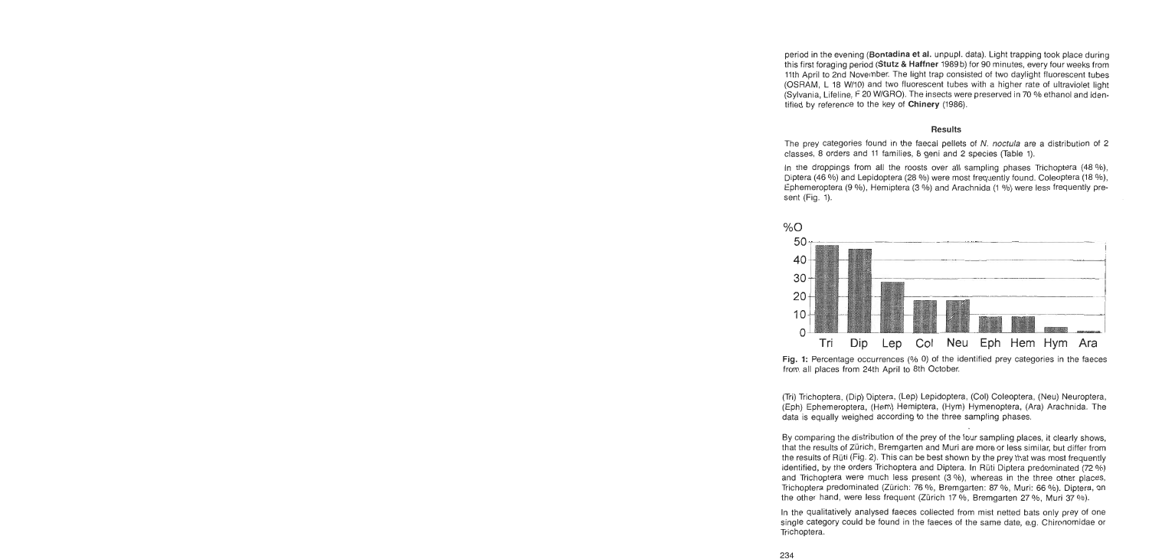period in the evening (Bontadina et al. unpupl. data). Light trapping took place during this first foraging period (Stutz & Haffner 1989 b) for 90 minutes, every four weeks from 11th April to 2nd November. The light trap consisted of two daylight fluorescent tubes (OSRAM, L 18 Wl10) and two fluorescent tubes with a higher rate of ultraviolet light (Sylvania, Lifeline, F 20 W/GRO). The insects were preserved in 70 % ethanol and identified by reference to the key of Chinery (1986).

#### Results

The prey categories found in the faecal pellets of N. noctula are a distribution of 2 classes, **8** orders and 11 families, 8 geni and 2 species (Table 1).

In the droppings from all the roosts over all sampling phases Trichoptera (48 %), Diptera (46 %) and Lepidoptera (28 %) were most frequently found. Coleoptera (18 %), Ephemeroptera (9 %), Hemiptera (3 %) and Arachnida (1 %) were less frequently present (Fig. 1).



**Fig.** 1: Percentage occurrences (% **0)** of the identified prey categories in the faeces from all places from 24th April to 8th October.

(Tri) Trichoptera, (Dip) Diptera, (Lep) Lepidoptera, (Col) Coleoptera, (Neu) Neuroptera, (Eph) Ephemeroptera, (Hem) Hemiptera, (Hym) Hymenoptera, (Ara) Arachnida. The data is equally weighed according to the three sampling phases.

By comparing the distribution of the prey of the four sampling places, it clearly shows, that the results of Zürich, Bremgarten and Muri are more or less similar, but differ from the results of Rüti (Fig. 2). This can be best shown by the prey that was most frequently identified, by the orders Trichoptera and Diptera. In Rüti Diptera predominated  $(72\%)$ and Trichoptera were much less present (3 %), whereas in the three other places, Trichoptera predominated (Zürich: 76 %, Bremgarten: 87 %, Muri: 66 %). Diptera, on the other hand, were less frequent (Zürich 17 %, Bremgarten 27 %, Muri 37 %).

In the qualitatively analysed faeces collected from mist netted bats only prey of one single category could be found in the faeces of the Same date, e.g. Chironomidae or Trichoptera.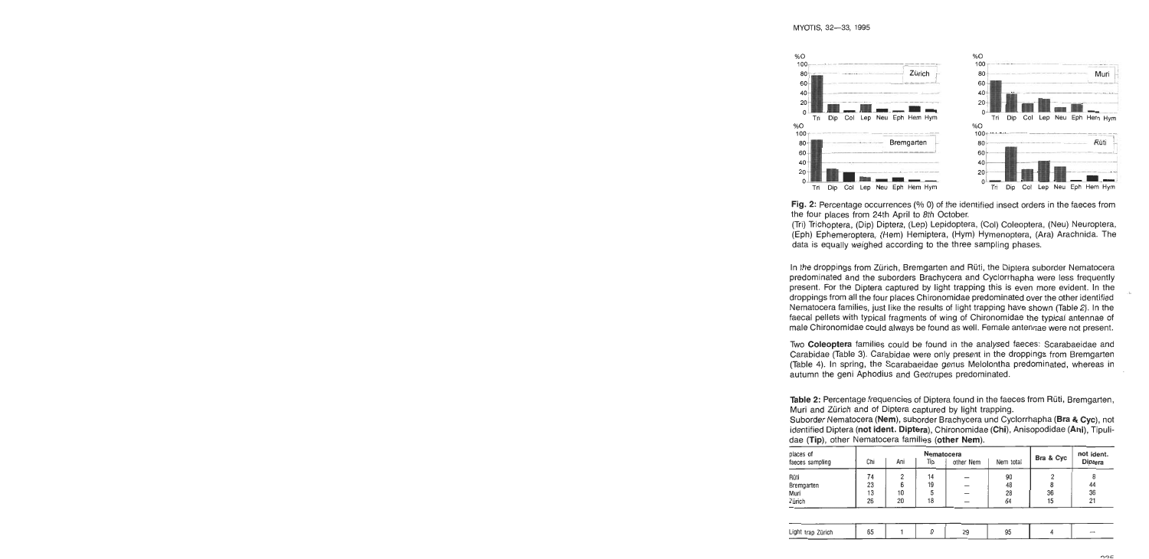

**Fig. 2:** Percentage occurrences (% 0) of the identified insect orders in the faeces from the four places from 24th April to 8th October.

(Tri) Trichoptera, (Dip) Diptera, (Lep) Lepidoptera, (Col) Coleoptera, (Neu) Neuroptera, (Eph) Epherneroptera, (Hern) Herniptera, (Hyrn) Hyrnenoptera, (Ara) Arachnida. The data is equally weighed according to the three sampling phases.

In the droppings from Zürich, Bremgarten and Rüti, the Diptera suborder Nematocera predorninated and the suborders Brachycera and Cyclorrhapha were less frequently present. For the Diptera captured by light trapping this is even more evident. In the , droppings frorn all the four places Chironornidae predorninated over the other identified Nematocera farnilies, just like the results of light trapping have shown (Table 2). In the faecal pellets with typical fragments of wing of Chironomidae the typical antennae of male Chironornidae could always be found as weil. Fernale antennae were not present.

Two Coleoptera farnilies could be found in the analysed faeces: Scarabaeidae and Carabidae (Table 3). Carabidae were only present in the droppings from Brerngarten (Table 4). In spring, the Scarabaeidae genus Melolontha predorninated, whereas in autumn the geni Aphodius and Geotrupes predominated.

Table **2:** Percentage frequencies of Diptera found in the faeces from Rüti, Brerngarten, Muri and Zürich and of Diptera captured by light trapping.

Suborder Nematocera (Nem), suborder Brachycera und Cyclorrhapha (Bra & Cyc), not identified Diptera (not ident. Diptera), Chironomidae (Chi), Anisopodidae (Ani), Tipulidae (Tip), other Nematocera families (other Nem).

| places of       |     |                                      | Bra & Cyc | not ident. |    |    |         |  |
|-----------------|-----|--------------------------------------|-----------|------------|----|----|---------|--|
| faeces sampling | Chi | other Nem<br>Nem total<br>Ani<br>Tip |           |            |    |    | Diptera |  |
| Rüti            | 74  | 2                                    | 14        |            | 90 |    |         |  |
| Bremgarten      | 23  | 6                                    | 19        |            | 48 |    | 44      |  |
| Muri            | 13  | 10                                   |           |            | 28 | 36 | 36      |  |
| Zürich          | 26  | 20                                   | 18        |            | 64 | 15 | 21      |  |

| Light trap Zürich | 65 |  | 90 | 95 |  |
|-------------------|----|--|----|----|--|
|                   |    |  |    |    |  |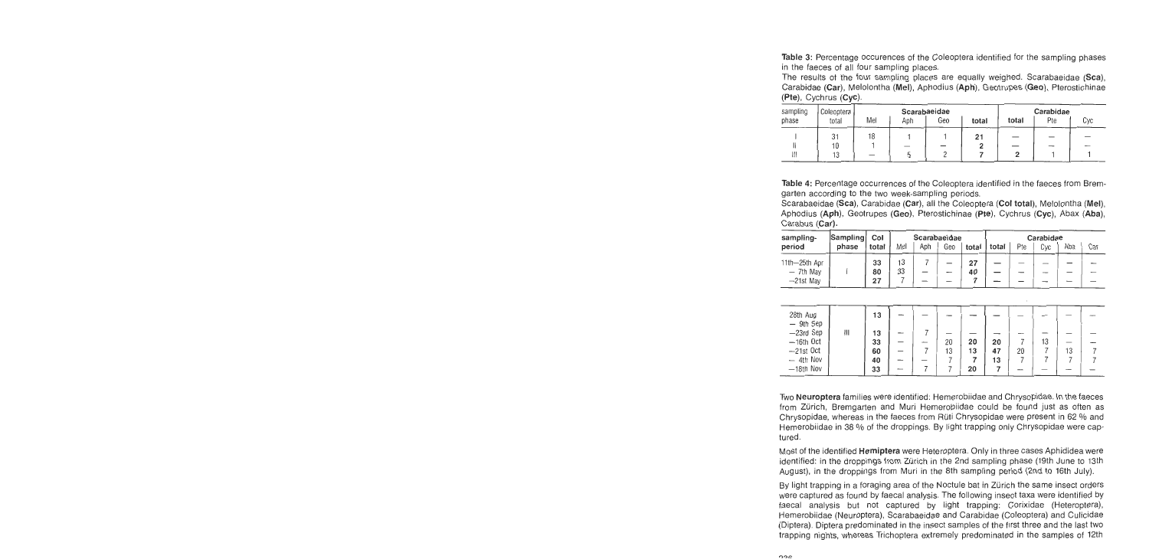Table 3: Percentage occurences of the Coleoptera identified for the sampling phases in the faeces of all four sampling places.

The results of the four sampling places are equally weighed. Scarabaeidae (Sca), Carabidae (Car), Melolontha (Mel), Aphodius (Aph), Geotrupes (Geo), Pterostichinae (Pte), Cychrus (Cyc).

| sampling | Coleoptera |     |     | Scarabaeidae |       | Carabidae |     |     |
|----------|------------|-----|-----|--------------|-------|-----------|-----|-----|
| phase    | total      | Mel | Aph | Geo          | total | total     | Pte | Cyc |
|          | 31         | 18  |     |              | 21    |           |     |     |
|          | 10         |     |     |              |       |           |     |     |
| Ш        | 13         |     |     |              |       |           |     |     |

Table **4:** Percentage occurrences of the Coleoptera identified in the faeces from Bremgarten according to the two week-sampling periods.

Scarabaeidae (Sca), Carabidae (Car), all the Coleoptera (Col total), Melolontha (Mel), Aphodius (Aph), Geotrupes (Geo), Pterostichinae (Pte), Cychrus (Cyc), Abax (Aba), Carabus (Car).

| sampling-     | Sampling | Scarabaeidae |     |     |     | Carabidae     |  |     |     |     |     |
|---------------|----------|--------------|-----|-----|-----|---------------|--|-----|-----|-----|-----|
| period        | phase    | total        | Mel | Aph | Geo | total   total |  | Pte | Cvc | Aba | Car |
| 11th-25th Apr |          | 33           | 13  |     |     | 27            |  |     |     |     |     |
| $-$ 7th May   |          | 80           | 33  |     | -   | 40            |  |     |     |     |     |
| $-21st$ May   |          | 27           |     |     |     |               |  |     |     |     |     |

| 28th Aug<br>- 9th Sep |   | 13 |  |    |    |    |    |    |    |  |
|-----------------------|---|----|--|----|----|----|----|----|----|--|
| -23rd Sep             | 排 | 13 |  |    |    |    |    |    |    |  |
| $-16th$ Oct           |   | 33 |  | 20 | 20 | 20 |    | 13 | __ |  |
| $-21st$ Oct           |   | 60 |  | 13 | 13 | 47 | 20 |    | 13 |  |
| $-4th$ Nov            |   | 40 |  |    |    | 13 |    |    |    |  |
| $-18th$ Nov           |   | 33 |  |    | 20 |    |    |    |    |  |

Two Neuroptera families were identified: Hemerobiidae and Chrysopidae. In the faeces frorn Zürich, Bremgarten and Muri Hemerobiidae could be found just as often as Chrysopidae, whereas in the faeces from Rüti Chrysopidae were present in 62 % and Hemerobiidae in 38 % of the droppings. By light trapping only Chrysopidae were captured.

Most of the identified Hemiptera were Heteroptera. Only in three cases Aphididea were identified: in the droppings from Zürich in the 2nd sampling phase (19th June to 13th August), in the droppings from Muri in the 8th sampling period (2nd to 16th July).

By light trapping in a foraging area of the Noctule bat in Zürich the same insect orders were captured as found by faecal analysis. The following insect taxa were identified by faecal analysis but not captured by light trapping: Corixidae (Heteroptera), Hemerobiidae (Neuroptera), Scarabaeidae and Carabidae (Coleoptera) and Culicidae (Diptera). Diptera predominated in the insect sarnples of the first three and the last two trapping nights, whereas Trichoptera extremely predominated in the samples of 12th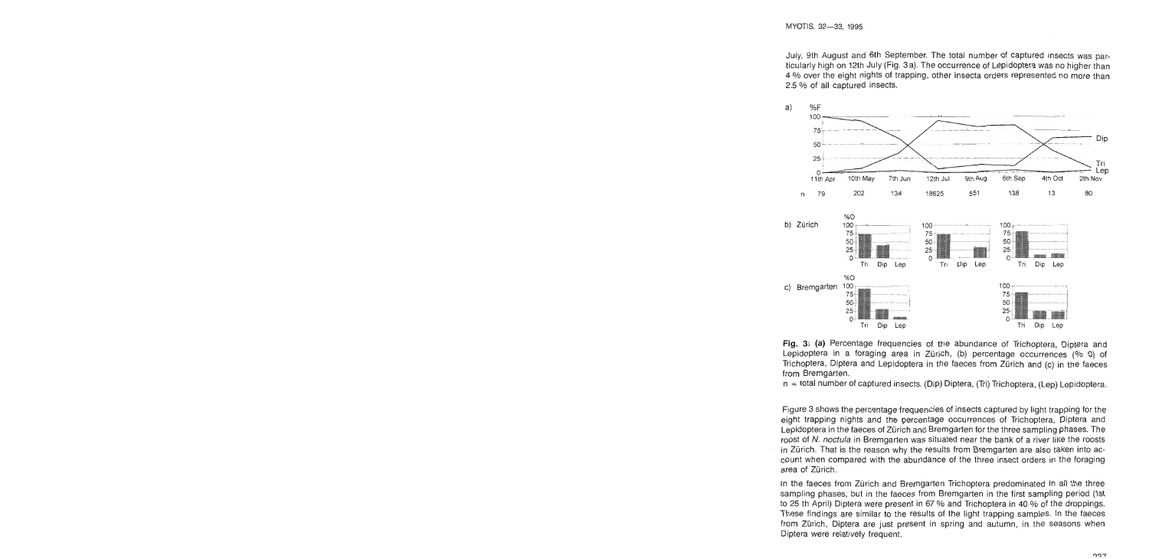July, 9th August and 6th September. The total number of captured insects was particularly high on 12th July (Fig. 3a). The occurrence of Lepidoptera was no higher than 4 % over the eight nights of trapping, other insecta orders represented no more than 2.5 % of all captured insects.



**Fig.** 3: **(a)** Percentage frequencies of the abundance of Trichoptera, Diptera and Lepidoptera in a foraging area in Zürich, (b) percentage occurrences (% 0) of Trichoptera, Diptera and Lepidoptera in the faeces from Zürich and (C) in the faeces from Bremgarten.

n = total number of captured insects. (Dip) Diptera, (Tii) Trichoptera, (Lep) Lepidoptera.

Figure 3 shows the percentage frequencies of insects captured by light trapping for the eight trapping nights and the percentage occurrences of Trichoptera, Diptera and Lepidoptera in the faeces of Zürich and Bremgarten for the three sampling phases. The roost of N. noctula in Bremgarten was situated near the bank of a river like the roosts in Zürich. That is the reason why the results from Bremgarten are also taken into account when compared with the abundance of the three insect orders in the foraging area of Zürich.

In the faeces from Zürich and Bremgarten Trichoptera predominated in all the three sampling phases, but in the faeces from Bremgarten in the first sampling period (Ist to 25 th April) Diptera were present in 67 % and Trichoptera in 40 % of the droppings. These findings are similar to the results of the light trapping samples. In the faeces from Zürich, Diptera are just present in spring and autumn, in the seasons when Diptera were relatively frequent.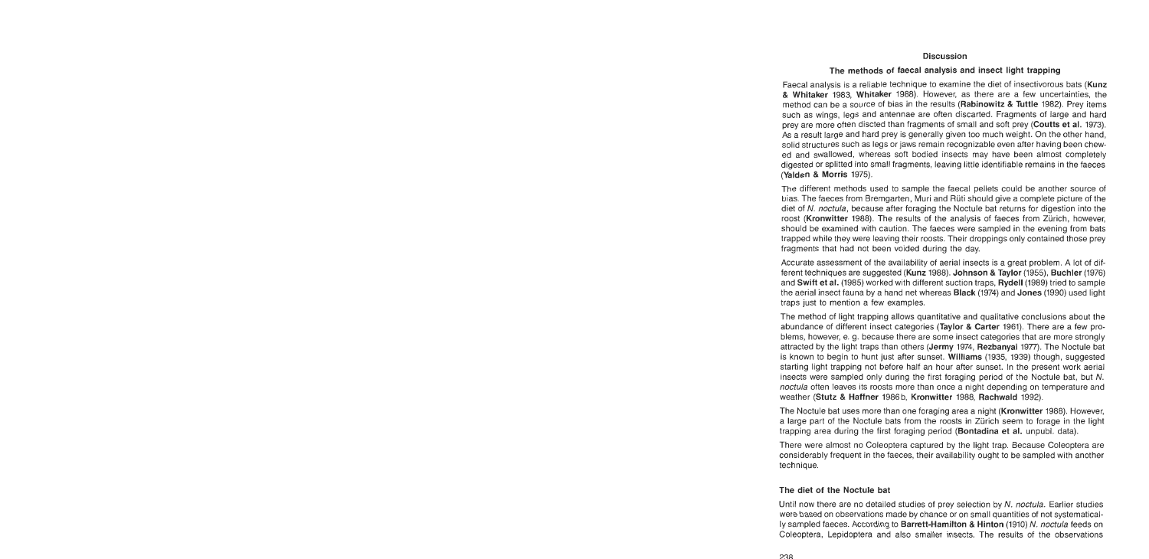### Discussion

## The methods of faecal analysis and insect light trapping

Faecal analysis is a reliable technique to examine the diet of insectivorous bats (Kunz & Whitaker 1983, Whitaker 1988). However, as there are a few uncertainties, the method can be a source of bias in the results (Rabinowitz & Tuttle 1982). Prey items such as wings, legs and antennae are often discarted. Fragments of large and hard prey are more often discted than fragments of small and soft prey (Coutts et al. 1973). **As** a result targe and hard prey is generally given too much weight. On the other hand, solid structures such as legs or jaws remain recognizable even after having been chewed and swallowed, whereas soft bodied insects may have been almost completely digested or splitted into small fragments, leaving little identifiable remains in the faeces (Yalden & Morris 1975).

The different methods used to sample the faecal pellets could be another source of bias. The faeces from Bremgarten, Muri and Rüti should give a complete picture of the diet of N. noctula, because after foraging the Noctule bat returns for digestion into the roost (Kronwitter 1988). The results of the analysis of faeces from Zürich, however, should be examined with caution. The faeces were sampled in the evening from bats trapped while they were leaving their roosts. Their droppings only contained those prey fragments that had not been voided during the day.

Accurate assessment of the availability of aerial insects is a great problem. A lot of different techniques are suggested (Kunz 1988). Johnson & Taylor (1955), Buchler (1976) and Swift et al. (1985) worked with different suction traps. Rydell (1989) tried to sample the aerial insect fauna by a hand net whereas Black (1974) and Jones (1990) used light traps just to mention a few examples.

The method of light trapping allows quantitative and qualitative conclusions about the abundance of different insect categories (Taylor & Carter 1961). There are a few problems, however, e. g. because there are some insect categories that are more strongly attracted by the light traps than others (Jermy 1974, Rezbanyai 1977). The Noctule bat is known to begin to hunt just after sunset. Williams (1935, 1939) though, suggested starting light trapping not before half an hour after sunset. In the present work aerial insects were sampled only during the first foraging period of the Noctule bat, but N. noctula often leaves its roosts more than once a night depending on temperature and weather (Stutz & Haffner 1986b, Kronwitter 1988, Rachwald 1992).

The Noctule bat uses more than one foraging area a night (Kronwitter 1988). However, a large part of the Noctule bats from the roosts in Zürich seem to forage in the light trapping area during the first foraging period (Bontadina et al. unpubl. data).

There were almost no Coleoptera captured by the light trap. Because Coleoptera are considerably frequent in the faeces, their availability ought to be sampled with another technique.

# The diet of the Noctule bat

Until now there are no detailed studies of prey selection by N, noctula. Earlier studies were based on observations made by chance or on small quantities of not systematically sampled faeces. According to Barrett-Hamilton & Hinton (1910) N. noctula feeds on Coleoptera, Lepidoptera and also smaller insects. The results of the observations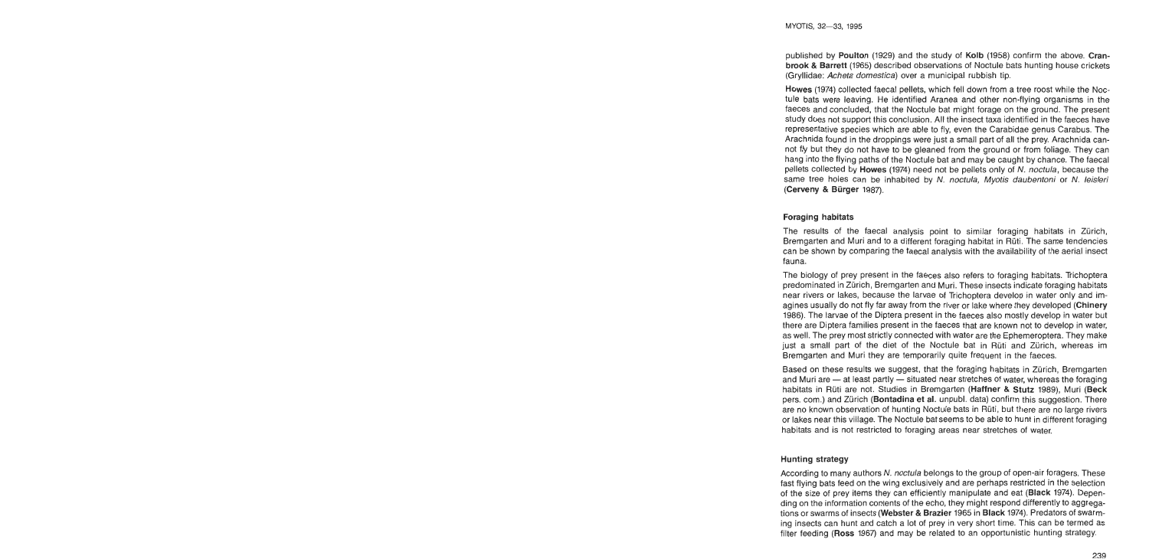published by Poulton (1929) and the study of Kolb (1958) confirm the above. Cranbrook & Barrett (1965) described observations of Noctule bats hunting house crickets (Gryllidae: Acheta domestica) over a municipal rubbish tip.

Howes (1974) collected faecal pellets, which fell down from a tree roost while the Noctule bats were leaving. He identified Aranea and other non-flying organisms in the faeces and concluded, that the Noctule bat might forage on the ground. The present study does not support this conclusion. All the insect taxa identified in the faeces have representative species which are able to fly, even the Carabidae genus Carabus. The Arachnida found in the droppings were just a small part of all the prey. Arachnida cannot fly but they do not have to be gleaned from the ground or from foliage. They can hang into the flying paths of the Noctule bat and may be caught by chance. The faecal pellets collected by Howes (1974) need not be pellets only of N. noctula, because the same tree holes can be inhabited by N. noctula, Myotis daubentoni or N. leisleri (Cerveny & Bürger 1987).

# Foraging habitats

The results of the faecal analysis point to similar foraging habitats in Zürich, Bremgarten and Muri and to a different foraging habitat in Ruti. The same tendencies can be shown by comparing the faecal analysis with the availability of the aerial insect fauna.

The biology of prey present in the faeces also refers to foraging habitats. Trichoptera predominated in Zürich, Bremgarten and Muri. These insects indicate foraging habitats near rivers or lakes, because the larvae of Trichoptera develop in water only and imagines usually do not fly far away from the river or lake where they developed (Chinery 1986). The larvae of the Diptera present in the faeces also mostly develop in water but there are Diptera families present in the faeces that are known not to develop in water, as well. The prey most strictly connected with water are the Ephemeroptera. They make just a small part of the diet of the Noctule bat in Rüti and Zürich, whereas im Bremgarten and Muri they are temporarily quite frequent in the faeces.

Based on these results we suggest, that the foraging habitats in Zürich, Bremgarten and Muri are  $-$  at least partly  $-$  situated near stretches of water, whereas the foraging habitats in Rüti are not. Studies in Bremgarten (Haffner & Stutz 1989), Muri (Beck pers. com.) and Zürich (Bontadina et al. unpubl. data) confirm this suggestion. There are no known observation of hunting Noctule bats in Rüti, but there are no large rivers or lakes near this village. The Noctule bat seems to be able to hunt in different foraging habitats and is not restricted to foraging areas near stretches of water.

# Hunting strategy

According to many authors N. noctula belongs to the group of open-air foragers. These fast flying bats feed on the wing exclusively and are perhaps restricted in the selection of the size of prey items they can efficiently manipulate and eat (Black 1974). Depending on the information contents of the echo, they might respond differently to aggregations or swarms of insects (Webster & Brazier 1965 in Black 1974). Predators of swarming insects can hunt and catch a lot of prey in very short time. This can be termed as filter feeding (Ross 1967) and may be related to an opportunistic hunting strategy.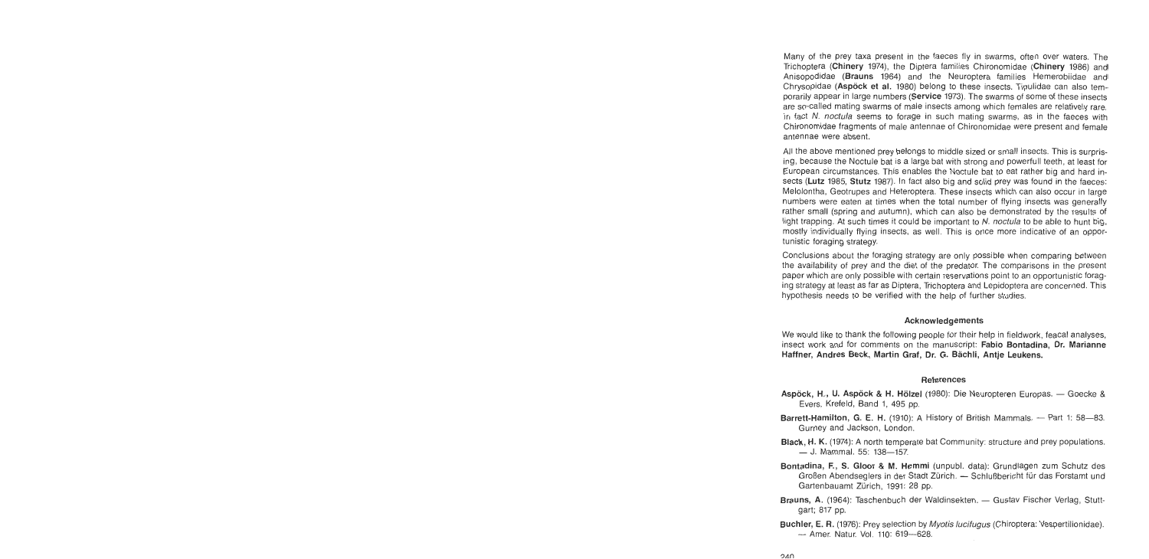Many of the prey taxa present in the faeces fly in swarms, often over waters. The Trichoptera (Chinery 1974), the Diptera families Chironomidae (Chinery 1986) and Anisopodidae (Brauns 1964) and the Neuroptera families Hemerobiidae and Chrysopidae (Aspöck et al. 1980) belong to these insects. Tipulidae can also temporarily appear in large numbers (Service 1973). The swarms of some of these insects are so-called mating swarms of male insects among which females are relatively rare. In fact N. noctula seems to forage in such mating swarms, as in the faeces with Chironomidae fragments of male antennae of Chironomidae were present and female antennae were absent.

All the above mentioned prey belongs to middle sized or small insects. This is surprising, because the Noctule bat is a large bat with strong and powerfull teeth, at least for European circurnstances. This enables the Noctule bat to eat rather big and hard insects (Lutz 1985, Stutz 1987). In fact also big and solid prey was found in the faeces: Melolontha, Geotrupes and Heteroptera. These insects which can also occur in large numbers were eaten at times when the total number of flying insects was generally rather small (spring and autumn), which can also be dernonstrated by the results of light trapping. At such times it could be important to  $N$ , noctula to be able to hunt big, mostly individually flying insects, as well. This is once more indicative of an opportunistic foraging strategy.

Conclusions about the foraging strategy are only possible when comparing between the availability of prey and the diet of the predator. The cornparisons in the present paper which are only possible with certain reservations point to an opportunistic foraging strategy at least as far as Diptera, Trichoptera and Lepidoptera are concerned. This hypothesis needs to be verified with the help of further studies.

#### Acknowledgements

We would like to thank the following people for their help in fieldwork, feacal analyses, insect work and for comments on the manuscript: Fabio Bontadina, Dr. Marianne Haffner, Andres Beck, Martin Graf, Dr. G. Bächli, Antje Leukens.

#### References

- Aspöck, H., U. Aspöck & H. Hölzel (1980): Die Neuropteren Europas. Goecke & Evers, Krefeld, Band 1, 495 pp.
- Barrett-Hamilton, G. E. H. (1910): A History of British Mammals. Part 1: 58-83. Gurney and Jackson, London.
- Black, H. K. (1974): A north temperate bat Community: structure and prey populations. - J. Mammal. 55: 138-157.
- Bontadina, F., S. Gloor & M. Hemmi (unpubl. data): Grundlagen zum Schutz des Großen Abendseglers in der Stadt Zürich. - Schlußbericht für das Forstamt und Gartenbauarnt Zürich, 1991: 28 pp.
- Brauns, A. (1964): Taschenbuch der Waldinsekten. Gustav Fischer Verlag, Stuttgart; 817 pp.
- Buchler, E. R. (1976): Prey selection by *Myotis lucifugus* (Chiroptera: Vespertilionidae). - Amer. Natur. Vol. 110: 619-628.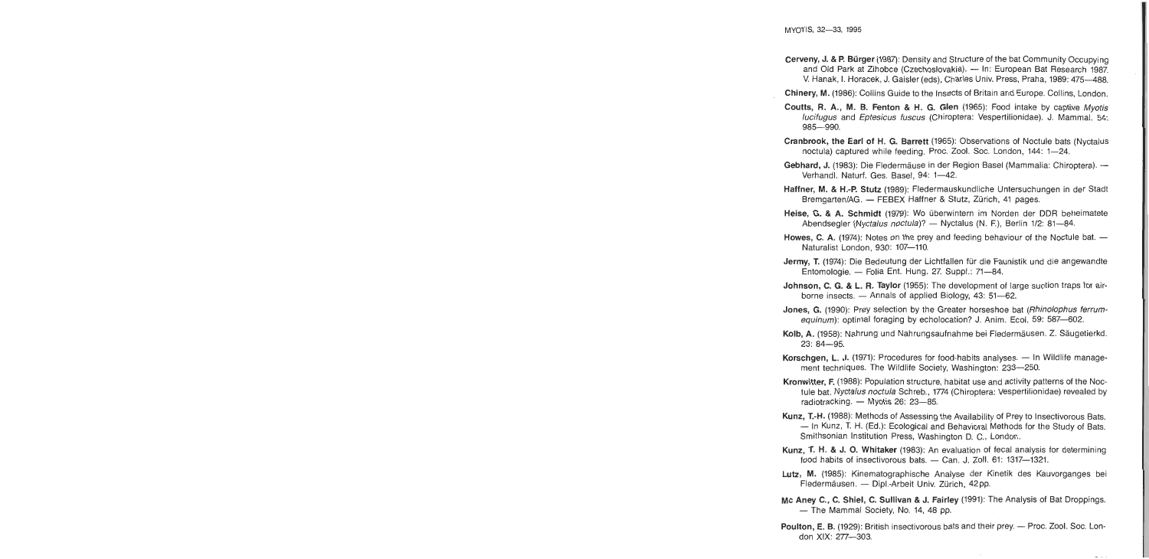- Cerveny, J. & P. Bürger (1987): Density and Structure of the bat Community Occupying and Old Park at Zihobce (Czechoslovakia). - In: European Bat Research 1987. V. Hanak, I. Horacek, J. Gaisler (eds), Charles Univ. Press, Praha, 1989: 475-488.
- Chinery, M. (1986): Collins Guide to the Insects of Britain and Europe. Collins, London.
- Coutts, R. A., M. B. Fenton & H. **G.** Glen (1965): Food intake by captive Myotis lucifugus and Eptesicus fuscus (Chiroptera: Vespertilionidae). J. Mammal. 54: 985-990.
- Cranbrook, the Earl of H. G. Barrett (1965): Observations of Noctule bats (Nyctalus noctula) captured while feeding. Proc. Zool. Soc. London, 144: 1-24.
- Gebhard, J. (1983): Die Fledermäuse in der Region Basel (Mammalia: Chiroptera). -Verhandl. Naturf. Ges. Basel, 94: 1-42.
- Haffner, M. & H.-P. Stutz (1989): Fledermauskundliche Untersuchungen in der Stadt Bremgarten/AG. - FEBEX Haffner & Stutz, Zürich, 41 pages.
- Heise, **G.** & A. Schrnidt (1979): Wo überwintern im Norden der DDR beheimatete Abendsegler (Nyctalus noctula)? - Nyctalus (N. F.), Berlin 1/2: 81-84.
- Howes, C. A. (1974): Notes on the prey and feeding behaviour of the Noctule bat. -Naturalist London, 930: 107-110.
- Jermy, T. (1974): Die Bedeutung der Lichtfallen für die Faunistik und die angewandte Entomologie. - Folia Ent. Hung. 27. Suppl.: 71-84.
- Johnson, C. **G.** & **L.** R. Taylor (1955): The development of large suction traps for airborne insects.  $-$  Annals of applied Biology, 43: 51-62.
- Jones, **G.** (1990): Prey selection by the Greater horseshoe bat (Rhinolophus ferrumequinum): optimal foraging by echolocation? J. Anim. Ecol. 59: 587-602.
- Kolb, A. (1958): Nahrung und Nahrungsaufnahme bei Fledermäusen. Z. Säugetierkd. 23: 84-95.
- Korschgen, L. J. (1971): Procedures for food-habits analyses. In Wildlife management techniques. The Wildlife Society, Washington: 233-250.
- Kronwitter, F. (1988): Population structure, habitat use and activity patterns of the Noctule bat, Nyctalus noctula Schreb., 1774 (Chiroptera: Vespertilionidae) revealed by radiotracking. - Myotis 26: 23-85.
- Kunz, T.-H. (1988): Methods of Assessing the Availability of Prey to Insectivorous Bats. - In Kunz, T. H. (Ed.): Ecological and Behavioral Methods for the Study of Bats. Smithsonian Institution Press, Washington D. C., London.
- Kunz, T. H. & J. **0.** Whitaker (1983): An evaluation of fecal analysis for determining food habits of insectivorous bats.  $-$  Can. J. Zoll. 61: 1317-1321.
- Lutz, M. (1985): Kinematographische Analyse der Kinetik des Kauvorganges bei Fledermäusen. - Dipl.-Arbeit Univ. Zürich, 42pp.
- **Mc** Aney C., C. Shiel, C. Sullivan & J. Fairley (1991): The Analysis of Bat Droppings. - The Mammal Society, No. 14, 48 pp.
- Poulton, E. B. (1929): British insectivorous bats and their prey. Proc. Zool. Soc. London XIX: 277-303.